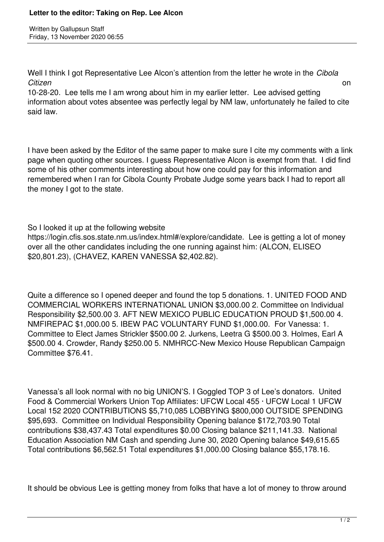Written by Gallupsun Staff Friday, 13 November 2020 06:55

Well I think I got Representative Lee Alcon's attention from the letter he wrote in the *Cibola Citizen* on

10-28-20. Lee tells me I am wrong about him in my earlier letter. Lee advised getting information about votes absentee was perfectly legal by NM law, unfortunately he failed to cite said law.

I have been asked by the Editor of the same paper to make sure I cite my comments with a link page when quoting other sources. I guess Representative Alcon is exempt from that. I did find some of his other comments interesting about how one could pay for this information and remembered when I ran for Cibola County Probate Judge some years back I had to report all the money I got to the state.

So I looked it up at the following website

https://login.cfis.sos.state.nm.us/index.html#/explore/candidate. Lee is getting a lot of money over all the other candidates including the one running against him: (ALCON, ELISEO \$20,801.23), (CHAVEZ, KAREN VANESSA \$2,402.82).

Quite a difference so I opened deeper and found the top 5 donations. 1. UNITED FOOD AND COMMERCIAL WORKERS INTERNATIONAL UNION \$3,000.00 2. Committee on Individual Responsibility \$2,500.00 3. AFT NEW MEXICO PUBLIC EDUCATION PROUD \$1,500.00 4. NMFIREPAC \$1,000.00 5. IBEW PAC VOLUNTARY FUND \$1,000.00. For Vanessa: 1. Committee to Elect James Strickler \$500.00 2. Jurkens, Leetra G \$500.00 3. Holmes, Earl A \$500.00 4. Crowder, Randy \$250.00 5. NMHRCC-New Mexico House Republican Campaign Committee \$76.41.

Vanessa's all look normal with no big UNION'S. I Goggled TOP 3 of Lee's donators. United Food & Commercial Workers Union Top Affiliates: UFCW Local 455 · UFCW Local 1 UFCW Local 152 2020 CONTRIBUTIONS \$5,710,085 LOBBYING \$800,000 OUTSIDE SPENDING \$95,693. Committee on Individual Responsibility Opening balance \$172,703.90 Total contributions \$38,437.43 Total expenditures \$0.00 Closing balance \$211,141.33. National Education Association NM Cash and spending June 30, 2020 Opening balance \$49,615.65 Total contributions \$6,562.51 Total expenditures \$1,000.00 Closing balance \$55,178.16.

It should be obvious Lee is getting money from folks that have a lot of money to throw around